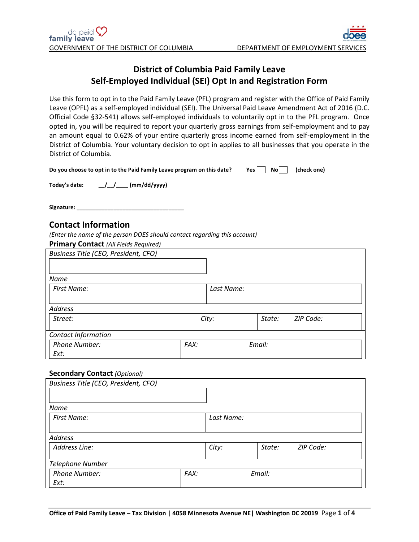# **District of Columbia Paid Family Leave Self-Employed Individual (SEI) Opt In and Registration Form**

Use this form to opt in to the Paid Family Leave (PFL) program and register with the Office of Paid Family Leave (OPFL) as a self-employed individual (SEI). The Universal Paid Leave Amendment Act of 2016 (D.C. Official Code §32-541) allows self-employed individuals to voluntarily opt in to the PFL program. Once opted in, you will be required to report your quarterly gross earnings from self-employment and to pay an amount equal to 0.62% of your entire quarterly gross income earned from self-employment in the District of Columbia. Your voluntary decision to opt in applies to all businesses that you operate in the District of Columbia.

| Do you choose to opt in to the Paid Family Leave program on this date? |  |  | this date? $Yes \t\t No \t\t (check one)$ |
|------------------------------------------------------------------------|--|--|-------------------------------------------|
|------------------------------------------------------------------------|--|--|-------------------------------------------|

**Today's date: \_\_/\_\_/\_\_\_\_ (mm/dd/yyyy)** 

Signature:

### **Contact Information**

*(Enter the name of the person DOES should contact regarding this account)* 

**Primary Contact** *(All Fields Required)*

| Business Title (CEO, President, CFO) |      |            |        |           |  |
|--------------------------------------|------|------------|--------|-----------|--|
|                                      |      |            |        |           |  |
| Name                                 |      |            |        |           |  |
| First Name:                          |      | Last Name: |        |           |  |
|                                      |      |            |        |           |  |
| <b>Address</b>                       |      |            |        |           |  |
| Street:                              |      | City:      | State: | ZIP Code: |  |
|                                      |      |            |        |           |  |
| <b>Contact Information</b>           |      |            |        |           |  |
| <b>Phone Number:</b>                 | FAX: |            | Email: |           |  |
| Ext:                                 |      |            |        |           |  |

### **Secondary Contact** *(Optional)*

| Business Title (CEO, President, CFO) |      |            |        |           |
|--------------------------------------|------|------------|--------|-----------|
|                                      |      |            |        |           |
| Name                                 |      |            |        |           |
| <b>First Name:</b>                   |      | Last Name: |        |           |
|                                      |      |            |        |           |
| Address                              |      |            |        |           |
| Address Line:                        |      | City:      | State: | ZIP Code: |
|                                      |      |            |        |           |
| Telephone Number                     |      |            |        |           |
| <b>Phone Number:</b>                 | FAX: |            | Email: |           |
| Ext:                                 |      |            |        |           |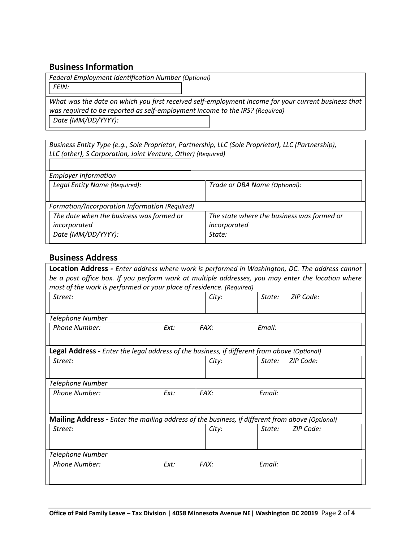## **Business Information**

*Federal Employment Identification Number (Optional) FEIN:* 

*What was the date on which you first received self-employment income for your current business that was required to be reported as self-employment income to the IRS? (Required) Date (MM/DD/YYYY):* 

*Business Entity Type (e.g., Sole Proprietor, Partnership, LLC (Sole Proprietor), LLC (Partnership), LLC (other), S Corporation, Joint Venture, Other) (Required)*

| <b>Employer Information</b>                    |                                            |
|------------------------------------------------|--------------------------------------------|
| Legal Entity Name (Required):                  | Trade or DBA Name (Optional):              |
|                                                |                                            |
| Formation/Incorporation Information (Required) |                                            |
| The date when the business was formed or       | The state where the business was formed or |
| incorporated                                   | incorporated                               |
| Date (MM/DD/YYYY):                             | State:                                     |
|                                                |                                            |

## **Business Address**

|                                                                                                   |      |       | Location Address - Enter address where work is performed in Washington, DC. The address cannot |  |  |
|---------------------------------------------------------------------------------------------------|------|-------|------------------------------------------------------------------------------------------------|--|--|
| be a post office box. If you perform work at multiple addresses, you may enter the location where |      |       |                                                                                                |  |  |
| most of the work is performed or your place of residence. (Required)                              |      |       |                                                                                                |  |  |
| Street:                                                                                           |      | City: | State:<br>ZIP Code:                                                                            |  |  |
| Telephone Number                                                                                  |      |       |                                                                                                |  |  |
| <b>Phone Number:</b>                                                                              | Ext: | FAX:  | Email:                                                                                         |  |  |
| Legal Address - Enter the legal address of the business, if different from above (Optional)       |      |       |                                                                                                |  |  |
| Street:                                                                                           |      | City: | State:<br>ZIP Code:                                                                            |  |  |
| Telephone Number                                                                                  |      |       |                                                                                                |  |  |
| <b>Phone Number:</b>                                                                              | Ext: | FAX:  | Email:                                                                                         |  |  |
| Mailing Address - Enter the mailing address of the business, if different from above (Optional)   |      |       |                                                                                                |  |  |
| Street:                                                                                           |      | City: | State:<br>ZIP Code:                                                                            |  |  |
| Telephone Number                                                                                  |      |       |                                                                                                |  |  |
| Phone Number:                                                                                     | Ext: | FAX:  | Fmail:                                                                                         |  |  |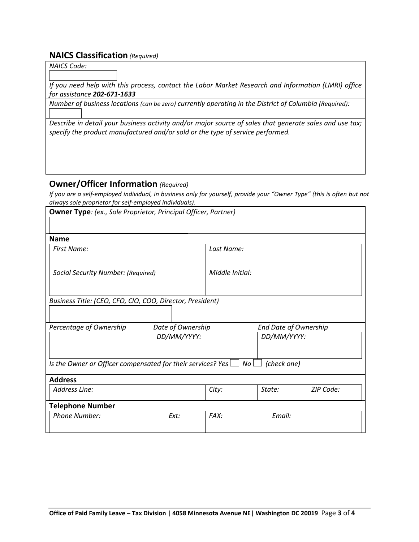# **NAICS Classification** *(Required)*

| NAICS Code:                                                                                                                                                                               |
|-------------------------------------------------------------------------------------------------------------------------------------------------------------------------------------------|
|                                                                                                                                                                                           |
| If you need help with this process, contact the Labor Market Research and Information (LMRI) office                                                                                       |
| for assistance 202-671-1633                                                                                                                                                               |
| Number of business locations (can be zero) currently operating in the District of Columbia (Required):                                                                                    |
|                                                                                                                                                                                           |
| Describe in detail your business activity and/or major source of sales that generate sales and use tax;<br>specify the product manufactured and/or sold or the type of service performed. |
|                                                                                                                                                                                           |
|                                                                                                                                                                                           |
|                                                                                                                                                                                           |
|                                                                                                                                                                                           |

# **Owner/Officer Information** *(Required)*

*If you are a self-employed individual, in business only for yourself, provide your "Owner Type" (this is often but not always sole proprietor for self-employed individuals).* 

| <b>Owner Type:</b> (ex., Sole Proprietor, Principal Officer, Partner)                    |                   |                 |                              |           |  |  |
|------------------------------------------------------------------------------------------|-------------------|-----------------|------------------------------|-----------|--|--|
| <b>Name</b>                                                                              |                   |                 |                              |           |  |  |
| <b>First Name:</b>                                                                       |                   | Last Name:      |                              |           |  |  |
| Social Security Number: (Required)                                                       |                   | Middle Initial: |                              |           |  |  |
| Business Title: (CEO, CFO, CIO, COO, Director, President)                                |                   |                 |                              |           |  |  |
| Percentage of Ownership                                                                  | Date of Ownership |                 | <b>End Date of Ownership</b> |           |  |  |
|                                                                                          | DD/MM/YYYY:       |                 | DD/MM/YYYY:                  |           |  |  |
| Is the Owner or Officer compensated for their services? Yes $\Box$ No $\Box$ (check one) |                   |                 |                              |           |  |  |
| <b>Address</b>                                                                           |                   |                 |                              |           |  |  |
| Address Line:                                                                            |                   | City:           | State:                       | ZIP Code: |  |  |
| <b>Telephone Number</b>                                                                  |                   |                 |                              |           |  |  |
| <b>Phone Number:</b>                                                                     | Ext:              | FAX:            | Email:                       |           |  |  |